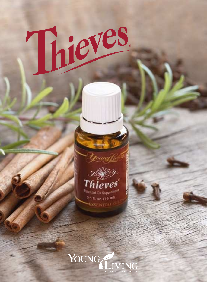

Thieves.

0.5 fl. oz. (15 ml) **ESSENTIA** 

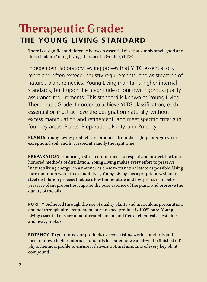### **herapeutic Grade: THE YOUNG LIVING STANDARD**

There is a significant difference between essential oils that simply smell good and those that are Young Living Therapeutic Grade (YLTG).

Independent laboratory testing proves that YLTG essential oils meet and often exceed industry requirements, and as stewards of nature's plant remedies, Young Living maintains higher internal standards, built upon the magnitude of our own rigorous quality assurance requirements. This standard is known as Young Living Therapeutic Grade. In order to achieve YLTG classification, each essential oil must achieve the designation naturally, without excess manipulation and refinement, and meet specific criteria in four key areas: Plants, Preparation, Purity, and Potency.

**PLANTS** Young Living products are produced from the right plants, grown in exceptional soil, and harvested at exactly the right time.

**PREPARATION** Honoring a strict commitment to respect and protect the timehonored methods of distillation, Young Living makes every effort to preserve "nature's living energy" in a manner as close to its natural state as possible. Using pure mountain water free of additives, Young Living has a proprietary, stainless steel distillation process that uses low temperature and low pressure to better preserve plant properties, capture the pure essence of the plant, and preserve the quality of the oils.

**PURITY** Achieved through the use of quality plants and meticulous preparation, and not through ultra-refinement, our finished product is 100% pure. Young Living essential oils are unadulterated, uncut, and free of chemicals, pesticides, and heavy metals.

**POTENCY** To guarantee our products exceed existing world standards and meet our own higher internal standards for potency, we analyze the finished oil's phytochemical profile to ensure it delivers optimal amounts of every key plant compound.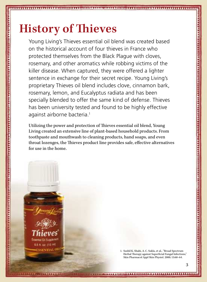# **History of hieves**

1. OU.S

a a a contra de la comunidad de la constituita de la contra de la constituita de la contra de la contra de la c

Young Living's Thieves essential oil blend was created based on the historical account of four thieves in France who protected themselves from the Black Plague with cloves, rosemary, and other aromatics while robbing victims of the killer disease. When captured, they were offered a lighter sentence in exchange for their secret recipe. Young Living's proprietary Thieves oil blend includes clove, cinnamon bark, rosemary, lemon, and Eucalyptus radiata and has been specially blended to offer the same kind of defense. Thieves has been university tested and found to be highly effective against airborne bacteria.<sup>1</sup>

Utilizing the power and protection of hieves essential oil blend, Young Living created an extensive line of plant-based household products. From toothpaste and mouthwash to cleaning products, hand soaps, and even throat lozenges, the Thieves product line provides safe, effective alternatives for use in the home.

> 1. Sushil K. Shahi, A. C. Sukla, et al., "Broad Spectrum Herbal Therapy against Superficial Fungal Infections," Skin Pharmacol Appl Skin Physiol. 2000; 13:60–64.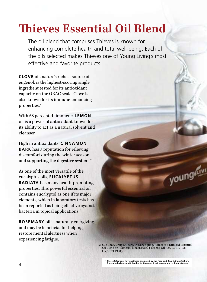## **hieves Essential Oil Blend**

The oil blend that comprises Thieves is known for enhancing complete health and total well-being. Each of the oils selected makes Thieves one of Young Living's most effective and favorite products.

**CLOVE** oil, nature's richest source of eugenol, is the highest-scoring single ingredient tested for its antioxidant capacity on the ORAC scale. Clove is also known for its immune-enhancing properties.\*

With 68 percent d-limonene, **LEMON** oil is a powerful antioxidant known for its ability to act as a natural solvent and cleanser.

High in antioxidants, **CINNAMON BARK** has a reputation for relieving discomfort during the winter season and supporting the digestive system.\*

As one of the most versatile of the eucalyptus oils, **EUCALYPTUS RADIATA** has many health-promoting properties. This powerful essential oil contains eucalyptol as one if its major elements, which in laboratory tests has been reported as being efective against bacteria in topical applications.<sup>2</sup>

**ROSEMARY** oil is naturally energizing and may be beneficial for helping restore mental alertness when experiencing fatigue.

> 2. Sue Chao, Craig J. Oberg, D. Gary Young, "Efect of a Difused Essential Oil Blend on Bacterial Bioaerosols," J. Essent. Oil Res. 10, 517–523 ( Sep/Oct 1998).

youngain

**\* These statements have not been evaluated by the Food and Drug Administration. These products are not intended to diagnose, treat, cure, or prevent any disease.**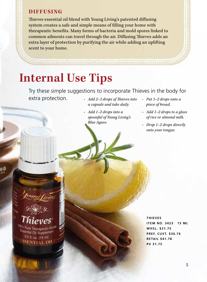#### **DIFFUSING**

hieves essential oil blend with Young Living's patented difusing system creates a safe and simple means of filling your home with therapeutic benefits. Many forms of bacteria and mold spores linked to common ailments can travel through the air. Diffusing Thieves adds an extra layer of protection by purifying the air while adding an uplifting scent to your home.

### **Internal Use Tips**

Try these simple suggestions to incorporate Thieves in the body for extra protection. *• Add 2-3 drops of Thieves into* 

- *a capsule and take daily.*
- *• Add 1–2 drops into a spoonful of Young Living's Blue Agave.*
- *• Put 1–2 drops onto a piece of bread.*
- *• Add 1–2 drops to a glass of rice or almond milk.*
- *• Drop 1–2 drops directly onto your tongue.*

<sup>Ssential</sup> Oil Suppleme 0.5 fl. oz. (15 ml) SSENTIAL OI!

**THIEVES ITEM NO. 3423 15 ML WHSL. \$31.75 PREF. CUST. \$36.76 RETAIL \$41.78 PV 31.75**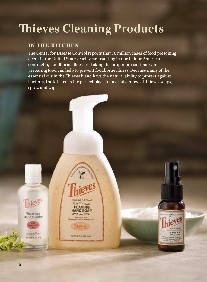## **hieves Cleaning Products**

#### **IN THE KITCHEN**

he Center for Disease Control reports that 76 million cases of food poisoning occur in the United States each year, resulting in one in four Americans contracting foodborne illnesses. Taking the proper precautions when preparing food can help to prevent foodborne illness. Because many of the essential oils in the Thieves blend have the natural ability to protect against bacteria, the kitchen is the perfect place to take advantage of hieves soaps, spray, and wipes.

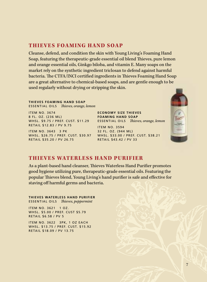#### **THIEVES FOAMING HAND SOAP**

Cleanse, defend, and condition the skin with Young Living's Foaming Hand Soap, featuring the therapeutic-grade essential oil blend Thieves, pure lemon and orange essential oils, Ginkgo biloba, and vitamin E. Many soaps on the market rely on the synthetic ingredient triclosan to defend against harmful bacteria. The CTFA/INCI certified ingredients in Thieves Foaming Hand Soap are a great alternative to chemical-based soaps, and are gentle enough to be used regularly without drying or stripping the skin.

**THIEVES FOAMING HAND SOAP** ESSENTIAL OILS *Thieves, orange, lemon* 

ITEM NO. 3674 8 FL. OZ. (236 ML) WHSL. \$9.75 / PREF. CUST. \$11.29 RETAIL \$12.83 / PV 9.75

ITEM NO. 3643 3 PK RETAIL \$35.20 / PV 26.75 **ECONOMY SIZE THIEVES FOAMING HAND SOAP** ESSENTIAL OILS *Thieves, orange, lemon* 

WHSL. \$26.75 / PREF. CUST. \$30.97 WHSL. \$33.00 / PREF. CUST. \$38.21 ITEM NO. 3594 32 FL. OZ. (944 ML) RETAIL \$43.42 / PV 33



#### **THIEVES WATERLESS HAND PURIFIER**

As a plant-based hand cleanser, Thieves Waterless Hand Purifier promotes good hygiene utilizing pure, therapeutic-grade essential oils. Featuring the popular Thieves blend, Young Living's hand purifier is safe and effective for staving off harmful germs and bacteria.

**THIEVES WATERLESS HAND PURIFIER** ESSENTIAL OILS *Thieves, peppermint* 

ITEM NO. 3621 1 OZ. WHSL. \$5.00 / PREF. CUST \$5.79 RETAIL \$6.58 / PV 5

ITEM NO. 3622 3PK, 1 OZ EACH WHSL. \$13.75 / PREF. CUST. \$15.92 RETAIL \$18.09 / PV 13.75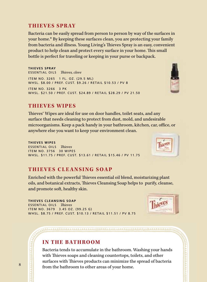#### **THIEVES SPRAY**

Bacteria can be easily spread from person to person by way of the surfaces in your home.\* By keeping these surfaces clean, you are protecting your family from bacteria and illness. Young Living's Thieves Spray is an easy, convenient product to help clean and protect every surface in your home. This small bottle is perfect for traveling or keeping in your purse or backpack.

**THIEVES SPRAY** ESSENTIAL OILS *hieves, clove* ITEM NO. 3265 1 FL. OZ. (29.5 ML) WHSL. \$8.00 / PREF. CUST. \$9.26 / RETAIL \$10.53 / PV 8 ITEM NO. 3266 3 PK WHSL. \$21.50 / PREF. CUST. \$24.89 / RETAIL \$28.29 / PV 21.50



hieves® Wipes are ideal for use on door handles, toilet seats, and any surface that needs cleaning to protect from dust, mold, and undesirable microorganisms. Keep a pack handy in your bathroom, kitchen, car, office, or anywhere else you want to keep your environment clean.

**THIEVES WIPES** ESSENTIAL OILS *hieves* ITEM NO. 3756 30 WIPES WHSL. \$11.75 / PREF. CUST. \$13.61 / RETAIL \$15.46 / PV 11.75

#### **THIEVES CLEANSING SOAP**

Enriched with the powerful Thieves essential oil blend, moisturizing plant oils, and botanical extracts, hieves Cleansing Soap helps to purify, cleanse, and promote soft, healthy skin.

**THIEVES CLEANSING SOAP** ESSENTIAL OILS *hieves* ITEM NO. 3679 3.45 OZ. (99.25 G) WHSL. \$8.75 / PREF. CUST. \$10.13 / RETAIL \$11.51 / PV 8.75

#### **IN THE BATHROOM**

Bacteria tends to accumulate in the bathroom. Washing your hands with Thieves soaps and cleaning countertops, toilets, and other surfaces with Thieves products can minimize the spread of bacteria  $\begin{array}{c|c} 8 & \text{from the bathroom to other areas of your home.} \end{array}$ 

**MARIAMANA AND AND MARIAMANA AND MARIAMANA AND THE REST.** 





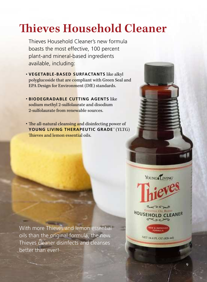## **hieves Household Cleaner**

Thieves Household Cleaner's new formula boasts the most effective, 100 percent plant-and mineral-based ingredients available, including:

- • **VEGETABLE-BASED SURFACTANTS** like alkyl polyglucoside that are compliant with Green Seal and EPA Design for Environment (DfE) standards.
- • **BIODEGRADABLE CUTTING AGENTS** like sodium methyl 2-sulfolaurate and disodium 2-sulfolaurate from renewable sources.
- The all-natural cleansing and disinfecting power of **YOUNG LIVING THERAPEUTIC GRADE**™ (YLTG) hieves and lemon essential oils.

With more Thieves and lemon essential oils than the original formula, the new Thieves cleaner disinfects and cleanses better than ever!

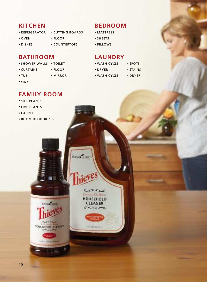#### **KITCHEN**

- REFRIGERATOR CUTTING BOARDS
- OVEN FLOOR
	-
- DISHES COUNTERTOPS

#### **BATHROOM**

- SHOWER WALLS TOILET
- CURTAINS FLOOR
	-
- 

YOUNG LIVING

صدقه Emergency On, Brand **HOUSEHOLD** 

> **CLEANER** وسوءت

**Weissens** 

- 
- SINK

#### • TUB • MIRROR

### **FAMILY ROOM**

- SILK PLANTS
- LIVE PLANTS
- CARPET
- ROOM DEODORIZER

**VANGENES** 

HOUSEHOLD CLEANER

*<u>UTHERWAY</u>* 

#### **BEDROOM**

- MATTRESS
- SHEETS
- PILLOWS

### **LAUNDRY**

- WASH CYCLE SPOTS • DRYER • STAINS
- WASH CYCLE DRYER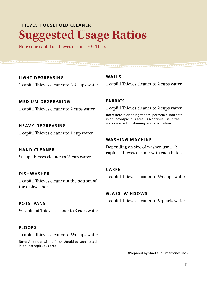### **THIEVES HOUSEHOLD CLEANER Suggested Usage Ratios**

Note : one capful of Thieves cleaner =  $\frac{1}{2}$  Tbsp.

**LIGHT DEGREASING**  1 capful hieves cleaner to 3¾ cups water

**MEDIUM DEGREASING**  1 capful Thieves cleaner to 2 cups water

**HEAVY DEGREASING**  1 capful Thieves cleaner to 1 cup water

**HAND CLEANER**   $\frac{1}{2}$  cup Thieves cleaner to  $\frac{1}{2}$  cup water

**DISHWASHER**  1 capful Thieves cleaner in the bottom of the dishwasher

#### **POTS+PANS**

 $\frac{1}{2}$  capful of Thieves cleaner to 3 cups water

#### **FLOORS**

1 capful hieves cleaner to 6¼ cups water

**Note:** Any floor with a finish should be spot tested in an inconspicuous area.

**WALLS**  1 capful Thieves cleaner to 2 cups water

#### **FABRICS**

1 capful hieves cleaner to 2 cups water

**Note:** Before cleaning fabrics, perform a spot test in an inconspicuous area. Discontinue use in the unlikely event of staining or skin irritation.

#### **WASHING MACHINE**

Depending on size of washer, use 1–2 capfuls Thieves cleaner with each batch.

#### **CARPET**

1 capful hieves cleaner to 6¼ cups water

#### **GLASS+WINDOWS**

1 capful hieves cleaner to 5 quarts water

(Prepared by Sha-Faun Enterprises Inc.)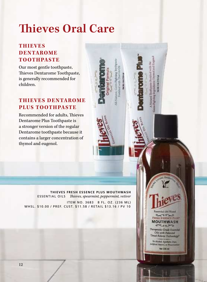## **hieves Oral Care**

#### **THIEVES DEN TAROME TOOTHPASTE**

Our most gentle toothpaste, hieves Dentarome Toothpaste, is generally recommended for children.

#### **THIEVES DEN TAROME PLUS TOOTHPASTE**

Recommended for adults, Thieves Dentarome Plus Toothpaste is a stronger version of the regular Dentarome toothpaste because it contains a larger concentration of thymol and eugenol.

> **THIEVES FRESH ESSENCE PLUS MOUTHWASH** ESSENTIAL OILS *Thieves, spearmint, peppermint, vetiver*

> > **Espendal Oil Blend** croon **FRESH ESSENCE PLI MOUTHWASH** مصورين Therapeutic-Grade Exsential Oils with Patented Timed-Release Technology\* No Alcohol, Bymberia Dyna, Artyleid Flavors, or Paris Net 236 mil

ITEM NO. 3683 8 FL. OZ. (236 ML) WHSL. \$10.00 / PREF. CUST. \$11.58 / RETAIL \$13.16 / PV 10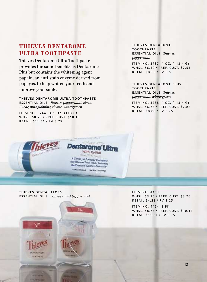#### **THIEVES DEN TAROME ULTRA TOOTHPASTE**

hieves Dentarome Ultra Toothpaste provides the same benefits as Dentarome Plus but contains the whitening agent papain, an anti-stain enzyme derived from papayas, to help whiten your teeth and improve your smile.

**THIEVES DENTAROME ULTRA TOOTHPASTE ESSENTIAL OILS** *Thieves, peppermint, clove, Eucalyptus globulus, thyme, wintergreen*

ITEM NO. 3744 4.1 OZ. (118 G) WHSL. \$8.75 / PREF. CUST. \$10.13 RETAIL \$11.51 / PV 8.75

*IHerce* 

**CIENTAL FLOSS** 141 W. Deb on

#### **THIEVES DENTAROME TOOTHPASTE ESSENTIAL OILS** *Thieves. peppermint*

ITEM NO. 3737 4 OZ. (113.4 G) WHSL. \$6.50 / PREF. CUST. \$7.53 RETAIL \$8.55 / PV 6.5

#### **THIEVES DENTAROME PLUS TOOTHPASTE ESSENTIAL OILS** *Thieves.*

*peppermint, wintergreen*

ITEM NO. 3738 4 OZ. (113.4 G) WHSL. \$6.75 / PREF. CUST. \$7.82 RETAIL \$8.88 / PV 6.75



**THIEVES DENTAL FLOSS ESSENTIAL OILS** *Thieves and peppermint*  ITEM NO. 4463 WHSL. \$3.25 / PREF. CUST. \$3.76 RETAIL \$4.28 / PV 3.25

ITEM NO. 4464 3 PK WHSL. \$8.75 / PREF. CUST. \$10.13 RETAIL \$11.51 / PV 8.75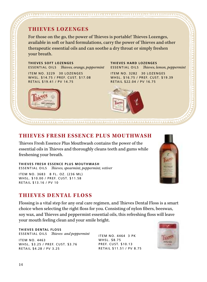For those on the go, the power of Thieves is portable! Thieves Lozenges, available in soft or hard formulations, carry the power of Thieves and other therapeutic essential oils and can soothe a dry throat or simply freshen your breath.

<u>IMITTINI UTATI ITTI TITTINI UTATI UTATI UTATI UTATI UTATI UTATI UTATI UTATI UTATI UTATI UTATI UTATI UTATI UT</u>

**THIEVES SOFT LOZENGES**  ESSENTIAL OILS *Thieves, orange, peppermint* 

ITEM NO. 3229 30 LOZENGES WHSL. \$14.75 / PREF. CUST. \$17.08 RETAIL \$19.41 / PV 14.75

#### **THIEVES HARD LOZENGES ESSENTIAL OILS** *Thieves, lemon, peppermint*

ITEM NO. 3282 30 LOZENGES WHSL. \$16.75 / PREF. CUST. \$19.39 RETAIL \$22.04 / PV 16.75



#### **THIEVES FRESH ESSENCE PLUS MOUTHWASH**

hieves Fresh Essence Plus Mouthwash contains the power of the essential oils in Thieves and thoroughly cleans teeth and gums while freshening your breath.

**THIEVES FRESH ESSENCE PLUS MOUTHWASH** ESSENTIAL OILS *Thieves, spearmint, peppermint, vetiver* 

ITEM NO. 3683 8 FL. OZ. (236 ML) WHSL. \$10.00 / PREF. CUST. \$11.58 RETAIL \$13.16 / PV 10

#### **THIEVES DENTAL FLOSS**

Flossing is a vital step for any oral care regimen, and Thieves Dental Floss is a smart choice when selecting the right loss for you. Consisting of nylon ibers, beeswax, soy wax, and Thieves and peppermint essential oils, this refreshing floss will leave your mouth feeling clean and your smile bright.

#### **THIEVES DENTAL FLOSS**

ESSENTIAL OILS *Thieves and peppermint* ITEM NO. 4464 3 PK

ITEM NO. 4463 WHSL. \$3.25 / PREF. CUST. \$3.76 RETAIL \$4.28 / PV 3.25

WHSL. \$8.75 PREF. CUST. \$10.13 RETAIL \$11.51 / PV 8.75

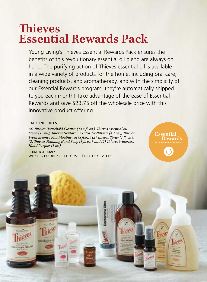### **hieves Essential Rewards Pack**

Young Living's Thieves Essential Rewards Pack ensures the benefits of this revolutionary essential oil blend are always on hand. The purifying action of Thieves essential oil is available in a wide variety of products for the home, including oral care, cleaning products, and aromatherapy, and with the simplicity of our Essential Rewards program, they're automatically shipped to you each month! Take advantage of the ease of Essential Rewards and save \$23.75 off the wholesale price with this innovative product offering.

#### **PACK INCLUDES**

**PERHOLD CLEANER** 

*(2) hieves Household Cleaner (14.4 l. oz.), hieves essential oil blend* (15 ml), Thieves Dentarome Ultra Toothpaste (4.1 oz.), Thieves *Fresh Essence Plus Mouthwash (8 fl.oz.), (2) Thieves Spray (1 fl. oz.),* (2) Thieves Foaming Hand Soap (8 fl. oz.), and (2) Thieves Waterless Hand Purifier (1 oz.)

ITEM NO. 3697 WHSL. \$115.00 / PREF. CUST. \$133.16 / PV 115 **Essential Rewards**

here